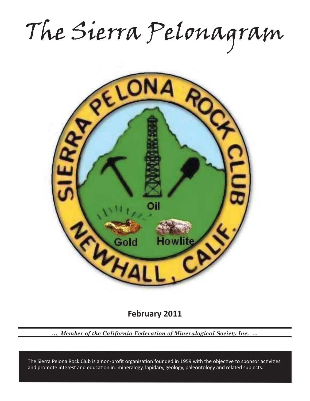The Sierra Pelonagram



**February 2011**

*… Member of the California Federation of Mineralogical Society Inc. …*

and promote interest and education in: mineralogy, lapidary, geology, paleontology and related subjects. The Sierra Pelona Rock Club is a non-profit organization founded in 1959 with the objective to sponsor activities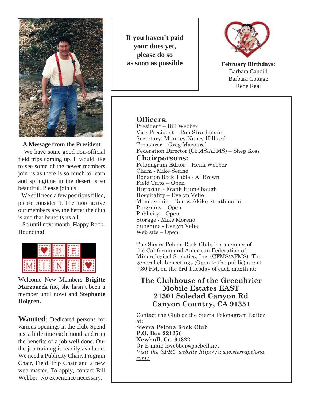

#### **A Message from the President**

 We have some good non-official field trips coming up. I would like to see some of the newer members join us as there is so much to learn and springtime in the desert is so beautiful. Please join us.

 We still need a few positions filled, please consider it. The more active our members are, the better the club is and that benefits us all.

 So until next month, Happy Rock-Hounding!



Welcome New Members **Brigitte Marzourek** (no, she hasn't been a member until now) and **Stephanie Holgren.**

**Wanted**: Dedicated persons for various openings in the club. Spend just a little time each month and reap the benefits of a job well done. Onthe-job training is readily available. We need a Publicity Chair, Program Chair, Field Trip Chair and a new web master. To apply, contact Bill Webber. No experience necessary.

**If you haven't paid your dues yet, please do so as soon as possible**



**February Birthdays:** Barbara Caudill Barbara Cottage Rene Real

## **Officers:**

President – Bill Webber Vice-President – Ron Strathmann Secretary: Minutes-Nancy Hilliard Treasurer – Greg Mazourek Federation Director (CFMS/AFMS) – Shep Koss

**Chairpersons:**

Pelonagram Editor – Heidi Webber Claim - Mike Serino Donation Rock Table - Al Brown Field Trips – Open Historian - Frank Humelbaugh Hospitality – Evelyn Velie Membership – Ron & Akiko Strathmann Programs – Open Publicity – Open Storage - Mike Moreno Sunshine - Evelyn Velie Web site – Open

The Sierra Pelona Rock Club, is a member of the California and American Federation of Mineralogical Societies, Inc. (CFMS/AFMS). The general club meetings (Open to the public) are at 7:30 PM, on the 3rd Tuesday of each month at:

# **The Clubhouse of the Greenbrier Mobile Estates EAST 21301 Soledad Canyon Rd Canyon Country, CA 91351**

Contact the Club or the Sierra Pelonagram Editor at:

**Sierra Pelona Rock Club P.O. Box 221256 Newhall, Ca. 91322** Or E-mail: hwebber@pacbell.net *Visit the SPRC website http://www.sierrapelona. com/*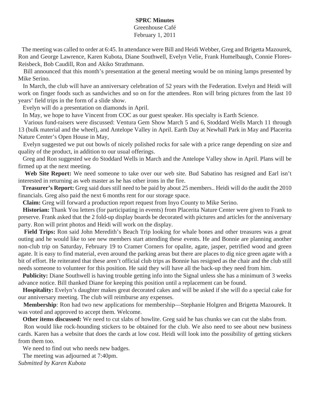#### **SPRC Minutes**

Greenhouse Café February 1, 2011

 The meeting was called to order at 6:45. In attendance were Bill and Heidi Webber, Greg and Brigetta Mazourek, Ron and George Lawrence, Karen Kubota, Diane Southwell, Evelyn Velie, Frank Humelbaugh, Connie Flores-Reisbeck, Bob Caudill, Ron and Akiko Strathmann.

 Bill announced that this month's presentation at the general meeting would be on mining lamps presented by Mike Serino.

 In March, the club will have an anniversary celebration of 52 years with the Federation. Evelyn and Heidi will work on finger foods such as sandwiches and so on for the attendees. Ron will bring pictures from the last 10 years' field trips in the form of a slide show.

Evelyn will do a presentation on diamonds in April.

In May, we hope to have Vincent from COC as our guest speaker. His specialty is Earth Science.

 Various fund-raisers were discussed: Ventura Gem Show March 5 and 6, Stoddard Wells March 11 through 13 (bulk material and the wheel), and Antelope Valley in April. Earth Day at Newhall Park in May and Placerita Nature Center's Open House in May,

 Evelyn suggested we put out bowls of nicely polished rocks for sale with a price range depending on size and quality of the product, in addition to our usual offerings.

 Greg and Ron suggested we do Stoddard Wells in March and the Antelope Valley show in April. Plans will be firmed up at the next meeting.

 **Web Site Report:** We need someone to take over our web site. Bud Sabatino has resigned and Earl isn't interested in returning as web master as he has other irons in the fire.

 **Treasurer's Report:** Greg said dues still need to be paid by about 25 members.. Heidi will do the audit the 2010 financials. Greg also paid the next 6 months rent for our storage space.

 **Claim:** Greg will forward a production report request from Inyo County to Mike Serino.

 **Historian:** Thank You letters (for participating in events) from Placerita Nature Center were given to Frank to preserve. Frank asked that the 2 fold-up display boards be decorated with pictures and articles for the anniversary party. Ron will print photos and Heidi will work on the display.

 **Field Trips:** Ron said John Meredith's Beach Trip looking for whale bones and other treasures was a great outing and he would like to see new members start attending these events. He and Bonnie are planning another non-club trip on Saturday, February 19 to Cramer Corners for opalite, agate, jasper, petrified wood and green agate. It is easy to find material, even around the parking areas but there are places to dig nice green agate with a bit of effort. He reiterated that these aren't official club trips as Bonnie has resigned as the chair and the club still needs someone to volunteer for this position. He said they will have all the back-up they need from him.

 **Publicity:** Diane Southwell is having trouble getting info into the Signal unless she has a minimum of 3 weeks advance notice. Bill thanked Diane for keeping this position until a replacement can be found.

 **Hospitality:** Evelyn's daughter makes great decorated cakes and will be asked if she will do a special cake for our anniversary meeting. The club will reimburse any expenses.

 **Membership**: Ron had two new applications for membership—Stephanie Holgren and Brigetta Mazourek. It was voted and approved to accept them. Welcome.

 **Other items discussed:** We need to cut slabs of howlite. Greg said he has chunks we can cut the slabs from.

 Ron would like rock-hounding stickers to be obtained for the club. We also need to see about new business cards. Karen has a website that does the cards at low cost. Heidi will look into the possibility of getting stickers from them too.

We need to find out who needs new badges.

 The meeting was adjourned at 7:40pm. *Submitted by Karen Kubota*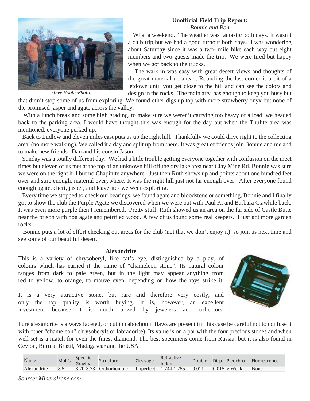### **Unofficial Field Trip Report:**

*Bonnie and Ron*



*Steve Hobbs-Photo*

 What a weekend. The weather was fantastic both days. It wasn't a club trip but we had a good turnout both days. I was wondering about Saturday since it was a two- mile hike each way but eight members and two guests made the trip. We were tired but happy when we got back to the trucks.

 The walk in was easy with great desert views and thoughts of the great material up ahead. Rounding the last corner is a bit of a letdown until you get close to the hill and can see the colors and design in the rocks. The main area has enough to keep you busy but

that didn't stop some of us from exploring. We found other digs up top with more strawberry onyx but none of the promised jasper and agate across the valley.

With a lunch break and some high grading, to make sure we weren't carrying too heavy of a load, we headed back to the parking area. I would have thought this was enough for the day but when the Thulite area was mentioned, everyone perked up.

 Back to Ludlow and eleven miles east puts us up the right hill. Thankfully we could drive right to the collecting area. (no more walking). We called it a day and split up from there. It was great of friends join Bonnie and me and to make new friends--Dan and his cousin Jason.

 Sunday was a totally different day. We had a little trouble getting everyone together with confusion on the meet times but eleven of us met at the top of an unknown hill off the dry lake area near Clay Mine Rd. Bonnie was sure we were on the right hill but no Chapinite anywhere. Just then Ruth shows up and points about one hundred feet over and sure enough, material everywhere. It was the right hill just not far enough over. After everyone found enough agate, chert, jasper, and leaverites we went exploring.

 Every time we stopped to check our bearings, we found agate and bloodstone or something. Bonnie and I finally got to show the club the Purple Agate we discovered when we were out with Paul K. and Barbara C.awhile back. It was even more purple then I remembered. Pretty stuff. Ruth showed us an area on the far side of Castle Butte near the prison with bog agate and petrified wood. A few of us found some real keepers. I just got more garden rocks.

 Bonnie puts a lot of effort checking out areas for the club (not that we don't enjoy it) so join us next time and see some of our beautiful desert.

#### **Alexandrite**

This is a variety of chrysoberyl, like cat's eye, distinguished by a play. of colours which has earned it the name of "chameleon stone". Its natural colour ranges from dark to pale green, but in the light may appear anything from red to yellow, to orange, to mauve even, depending on how the rays strike it.

It is a very attractive stone, but rare and therefore very costly, and only the top quality is worth buying. It is, however, an excellent investment because it is much prized by jewelers and collectors.



Pure alexandrite is always faceted, or cut in cabochon if flaws are present (in this case be careful not to confuse it with other "chameleon" chrysoberyls or labradorite). Its value is on a par with the four precious stones and when well set is a match for even the finest diamond. The best specimens come from Russia, but it is also found in Ceylon, Burma, Brazil, Madagascar and the USA.

| Name        | Moh's | Specific<br>Gravity | <b>Structure</b>           | Cleavage | Refractive<br>Index     | Double                       | Disp. Pleochro | <b>Fluorescence</b> |
|-------------|-------|---------------------|----------------------------|----------|-------------------------|------------------------------|----------------|---------------------|
| Alexandrite | 8.5   |                     | $3.70 - 3.73$ Orthorhombic |          | $Imperfect$ 1.744-1.755 | $[0.011 \quad 0.015]$ v Weak |                | None                |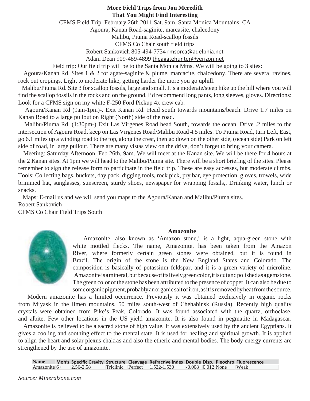### **More Field Trips from Jon Meredith That You Might Find Interesting**

CFMS Field Trip–February 26th 2011 Sat. 9am. Santa Monica Mountains, CA

Agoura, Kanan Road-saginite, marcasite, chalcedony

Malibu, Piuma Road-scallop fossils

CFMS Co Chair south field trips

Robert Sankovich 805-494-7734 rmsorca@adelphia.net

Adam Dean 909-489-4899 theagatehunter@verizon.net

Field trip: Our field trip will be to the Santa Monica Mtns. We will be going to 3 sites:

 Agoura/Kanan Rd. Sites 1 & 2 for agate-saginite & plume, marcacite, chalcedony. There are several ravines, rock out cropings. Light to moderate hike, getting harder the more you go uphill.

 Malibu/Piuma Rd. Site 3 for scallop fossils, large and small. It's a moderate/steep hike up the hill where you will find the scallop fossils in the rocks and on the ground. I'd recommend long pants, long sleeves, gloves. Directions: Look for a CFMS sign on my white F-250 Ford Pickup 4x crew cab.

 Agoura/Kanan Rd (9am-1pm)-. Exit Kanan Rd. Head south towards mountains/beach. Drive 1.7 miles on Kanan Road to a large pullout on Right (North) side of the road.

 Malibu/Piuma Rd. (1:30pm-) Exit Las Virgenes Road head South, towards the ocean. Drive .2 miles to the intersection of Agoura Road, keep on Las Virgenes Road/Malibu Road 4.5 miles. To Piuma Road, turn Left, East, go 6.1 miles up a winding road to the top, along the crest, then go down on the other side, (ocean side) Park on left side of road, in large pullout. There are many vistas view on the drive, don't forget to bring your camera.

 Meeting: Saturday Afternoon, Feb 26th, 9am. We will meet at the Kanan site. We will be there for 4 hours at the 2 Kanan sites. At 1pm we will head to the Malibu/Piuma site. There will be a short briefing of the sites. Please remember to sign the release form to participate in the field trip. These are easy accesses, but moderate climbs. Tools: Collecting bags, buckets, day pack, digging tools, rock pick, pry bar, eye protection, gloves, trowels, wide brimmed hat, sunglasses, sunscreen, sturdy shoes, newspaper for wrapping fossils,. Drinking water, lunch or snacks.

 Maps: E-mail us and we will send you maps to the Agoura/Kanan and Malibu/Piuma sites. Robert Sankovich

CFMS Co Chair Field Trips South

#### **Amazonite**



 Amazonite, also known as 'Amazon stone,' is a light, aqua-green stone with white mottled flecks. The name, Amazonite, has been taken from the Amazon River, where formerly certain green stones were obtained, but it is found in Brazil. The origin of the stone is the New England States and Colorado. The composition is basically of potassium feldspar, and it is a green variety of microline. Amazonite is a mineral, but because of its lively green color, it is cut and polished as a gemstone. The green color of the stone has been attributed to the presence of copper. It can also be due to some organic pigment, probably an organic salt of iron, as it is removed by heat from the source.

 Modern amazonite has a limited occurrence. Previously it was obtained exclusively in organic rocks from Miyask in the Ilmen mountains, 50 miles south-west of Chehabinsk (Russia). Recently high quality crystals were obtained from Pike's Peak, Colorado. It was found associated with the quartz, orthoclase, and albite. Few other locations in the US yield amazonite. It is also found in pegmatite in Madagascar.

 Amazonite is believed to be a sacred stone of high value. It was extensively used by the ancient Egyptians. It gives a cooling and soothing effect to the mental state. It is used for healing and spiritual growth. It is applied to align the heart and solar plexus chakras and also the etheric and mental bodies. The body energy currents are strengthened by the use of amazonite.

**Name Moh's Specific Gravity Structure Cleavage Refractive Index Double Disp. Pleochro Fluorescence Amazonite 6+ 2.56-2.58 Triclinic Perfect 1.522-1.530 -0.008 0.012 None Weak** 2.56-2.58 Triclinic Perfect 1.522-1.530 -0.008 0.012 None Weak